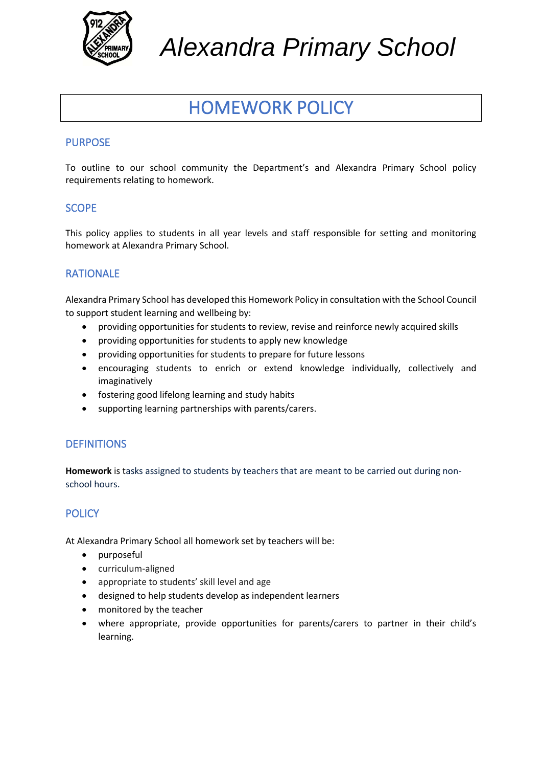

*Alexandra Primary School*

# HOMEWORK POLICY

#### PURPOSE

To outline to our school community the Department's and Alexandra Primary School policy requirements relating to homework.

#### **SCOPE**

This policy applies to students in all year levels and staff responsible for setting and monitoring homework at Alexandra Primary School.

#### RATIONALE

Alexandra Primary School has developed this Homework Policy in consultation with the School Council to support student learning and wellbeing by:

- providing opportunities for students to review, revise and reinforce newly acquired skills
- providing opportunities for students to apply new knowledge
- providing opportunities for students to prepare for future lessons
- encouraging students to enrich or extend knowledge individually, collectively and imaginatively
- fostering good lifelong learning and study habits
- supporting learning partnerships with parents/carers.

#### **DEFINITIONS**

**Homework** is tasks assigned to students by teachers that are meant to be carried out during nonschool hours.

## **POLICY**

At Alexandra Primary School all homework set by teachers will be:

- purposeful
- curriculum-aligned
- appropriate to students' skill level and age
- designed to help students develop as independent learners
- monitored by the teacher
- where appropriate, provide opportunities for parents/carers to partner in their child's learning.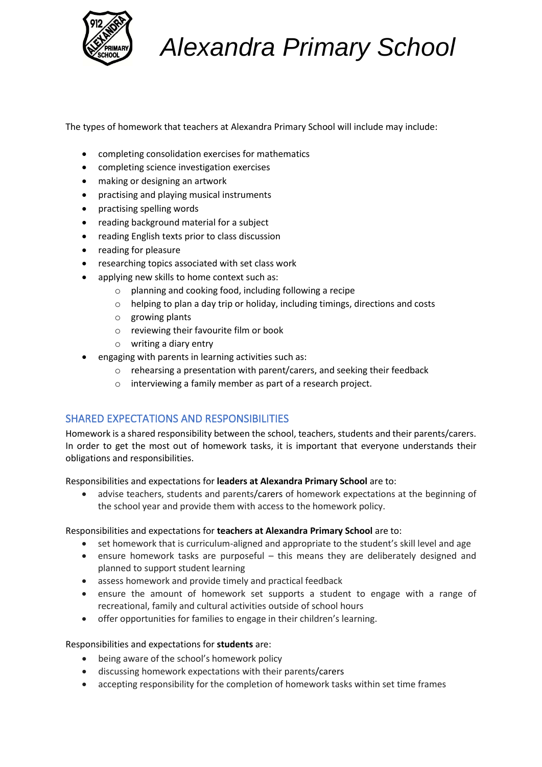

# *Alexandra Primary School*

The types of homework that teachers at Alexandra Primary School will include may include:

- completing consolidation exercises for mathematics
- completing science investigation exercises
- making or designing an artwork
- practising and playing musical instruments
- practising spelling words
- reading background material for a subject
- reading English texts prior to class discussion
- reading for pleasure
- researching topics associated with set class work
- applying new skills to home context such as:
	- o planning and cooking food, including following a recipe
	- o helping to plan a day trip or holiday, including timings, directions and costs
	- o growing plants
	- o reviewing their favourite film or book
	- o writing a diary entry
- engaging with parents in learning activities such as:
	- o rehearsing a presentation with parent/carers, and seeking their feedback
	- o interviewing a family member as part of a research project.

#### SHARED EXPECTATIONS AND RESPONSIBILITIES

Homework is a shared responsibility between the school, teachers, students and their parents/carers. In order to get the most out of homework tasks, it is important that everyone understands their obligations and responsibilities.

Responsibilities and expectations for **leaders at Alexandra Primary School** are to:

• advise teachers, students and parents/carers of homework expectations at the beginning of the school year and provide them with access to the homework policy.

Responsibilities and expectations for **teachers at Alexandra Primary School** are to:

- set homework that is curriculum-aligned and appropriate to the student's skill level and age
- ensure homework tasks are purposeful this means they are deliberately designed and planned to support student learning
- assess homework and provide timely and practical feedback
- ensure the amount of homework set supports a student to engage with a range of recreational, family and cultural activities outside of school hours
- offer opportunities for families to engage in their children's learning.

Responsibilities and expectations for **students** are:

- being aware of the school's homework policy
- discussing homework expectations with their parents/carers
- accepting responsibility for the completion of homework tasks within set time frames